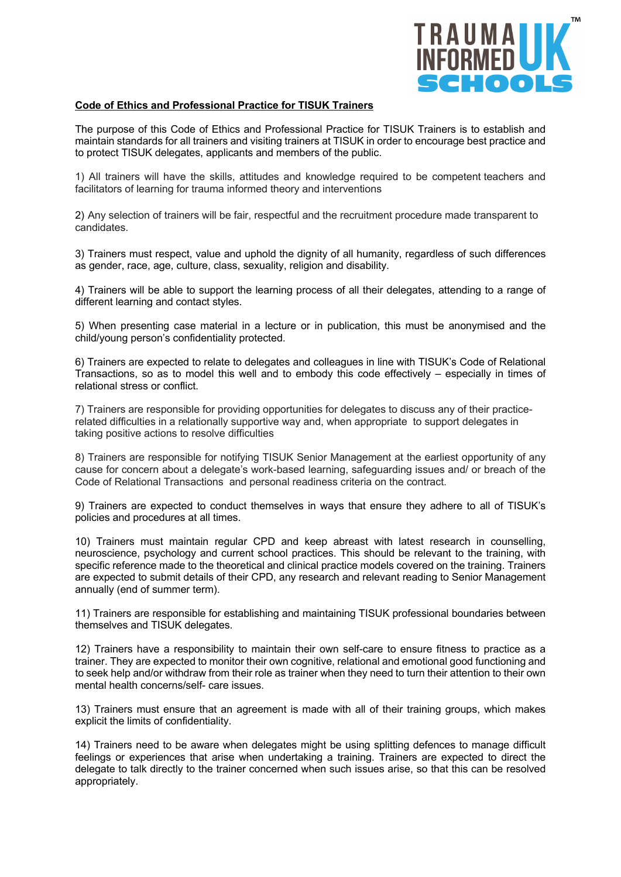

## **Code of Ethics and Professional Practice for TISUK Trainers**

The purpose of this Code of Ethics and Professional Practice for TISUK Trainers is to establish and maintain standards for all trainers and visiting trainers at TISUK in order to encourage best practice and to protect TISUK delegates, applicants and members of the public.

1) All trainers will have the skills, attitudes and knowledge required to be competent teachers and facilitators of learning for trauma informed theory and interventions

2) Any selection of trainers will be fair, respectful and the recruitment procedure made transparent to candidates.

3) Trainers must respect, value and uphold the dignity of all humanity, regardless of such differences as gender, race, age, culture, class, sexuality, religion and disability.

4) Trainers will be able to support the learning process of all their delegates, attending to a range of different learning and contact styles.

5) When presenting case material in a lecture or in publication, this must be anonymised and the child/young person's confidentiality protected.

6) Trainers are expected to relate to delegates and colleagues in line with TISUK's Code of Relational Transactions, so as to model this well and to embody this code effectively – especially in times of relational stress or conflict.

7) Trainers are responsible for providing opportunities for delegates to discuss any of their practicerelated difficulties in a relationally supportive way and, when appropriate to support delegates in taking positive actions to resolve difficulties

8) Trainers are responsible for notifying TISUK Senior Management at the earliest opportunity of any cause for concern about a delegate's work-based learning, safeguarding issues and/ or breach of the Code of Relational Transactions and personal readiness criteria on the contract.

9) Trainers are expected to conduct themselves in ways that ensure they adhere to all of TISUK's policies and procedures at all times.

10) Trainers must maintain regular CPD and keep abreast with latest research in counselling, neuroscience, psychology and current school practices. This should be relevant to the training, with specific reference made to the theoretical and clinical practice models covered on the training. Trainers are expected to submit details of their CPD, any research and relevant reading to Senior Management annually (end of summer term).

11) Trainers are responsible for establishing and maintaining TISUK professional boundaries between themselves and TISUK delegates.

12) Trainers have a responsibility to maintain their own self-care to ensure fitness to practice as a trainer. They are expected to monitor their own cognitive, relational and emotional good functioning and to seek help and/or withdraw from their role as trainer when they need to turn their attention to their own mental health concerns/self- care issues.

13) Trainers must ensure that an agreement is made with all of their training groups, which makes explicit the limits of confidentiality.

14) Trainers need to be aware when delegates might be using splitting defences to manage difficult feelings or experiences that arise when undertaking a training. Trainers are expected to direct the delegate to talk directly to the trainer concerned when such issues arise, so that this can be resolved appropriately.